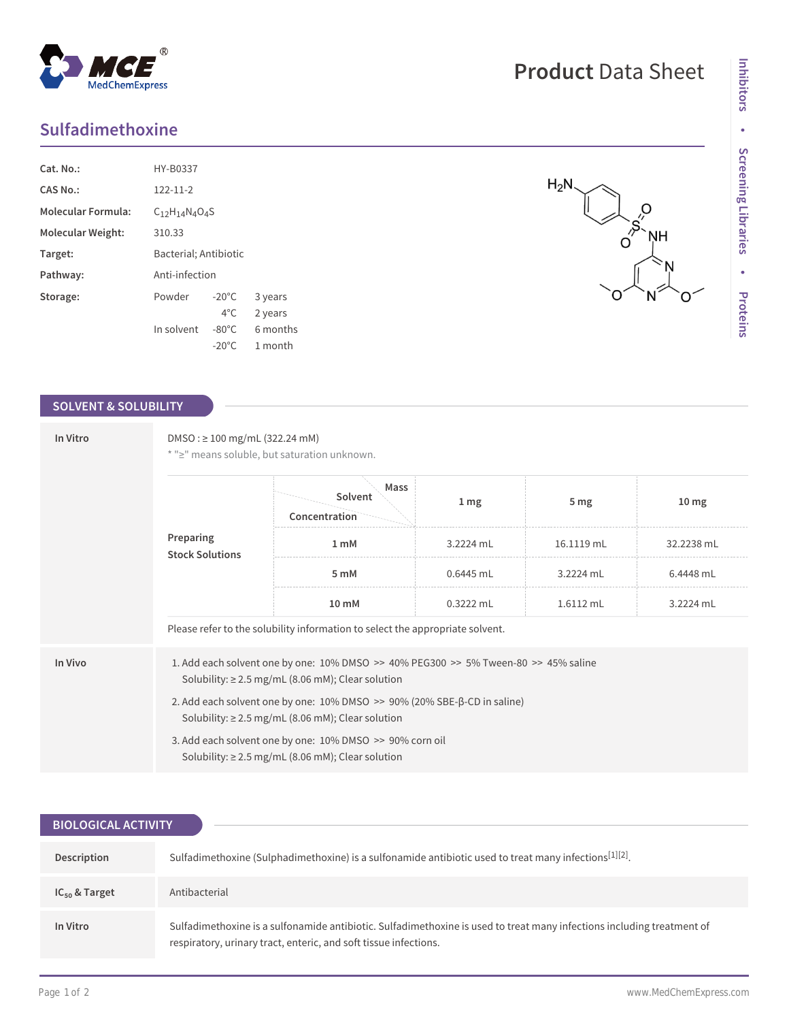## **Sulfadimethoxine**

MedChemExpress

| Cat. No.:                 | HY-B0337                  |                 |          |  |  |
|---------------------------|---------------------------|-----------------|----------|--|--|
| CAS No.:                  | $122 - 11 - 2$            |                 |          |  |  |
| <b>Molecular Formula:</b> | $C_{12}H_{14}N_{4}O_{4}S$ |                 |          |  |  |
| Molecular Weight:         | 310.33                    |                 |          |  |  |
| Target:                   | Bacterial; Antibiotic     |                 |          |  |  |
| Pathway:                  | Anti-infection            |                 |          |  |  |
| Storage:                  | Powder                    | $-20^{\circ}$ C | 3 years  |  |  |
|                           |                           | $4^{\circ}$ C.  | 2 years  |  |  |
|                           | In solvent                | $-80^{\circ}$ C | 6 months |  |  |
|                           |                           | $-20^{\circ}$ C | 1 month  |  |  |

 $^{\circledR}$ 

### **SOLVENT & SOLUBILITY**

| In Vitro | $DMSO: \geq 100$ mg/mL (322.24 mM)<br>* ">" means soluble, but saturation unknown.                                                               |                                                                                                                    |                 |                 |                  |  |  |
|----------|--------------------------------------------------------------------------------------------------------------------------------------------------|--------------------------------------------------------------------------------------------------------------------|-----------------|-----------------|------------------|--|--|
|          | Preparing<br><b>Stock Solutions</b>                                                                                                              | Mass<br>Solvent<br>Concentration                                                                                   | 1 <sub>mg</sub> | 5 <sub>mg</sub> | 10 <sub>mg</sub> |  |  |
|          |                                                                                                                                                  | 1 <sub>m</sub> M                                                                                                   | 3.2224 mL       | 16.1119 mL      | 32.2238 mL       |  |  |
|          |                                                                                                                                                  | 5 mM                                                                                                               | $0.6445$ mL     | 3.2224 mL       | 6.4448 mL        |  |  |
|          | $10 \text{ mM}$                                                                                                                                  | $0.3222$ mL                                                                                                        | 1.6112 mL       | 3.2224 mL       |                  |  |  |
|          |                                                                                                                                                  | Please refer to the solubility information to select the appropriate solvent.                                      |                 |                 |                  |  |  |
| In Vivo  | 1. Add each solvent one by one: 10% DMSO >> 40% PEG300 >> 5% Tween-80 >> 45% saline<br>Solubility: $\geq$ 2.5 mg/mL (8.06 mM); Clear solution    |                                                                                                                    |                 |                 |                  |  |  |
|          | 2. Add each solvent one by one: $10\%$ DMSO $\gg$ 90% (20% SBE- $\beta$ -CD in saline)<br>Solubility: $\geq$ 2.5 mg/mL (8.06 mM); Clear solution |                                                                                                                    |                 |                 |                  |  |  |
|          |                                                                                                                                                  | 3. Add each solvent one by one: 10% DMSO >> 90% corn oil<br>Solubility: $\geq$ 2.5 mg/mL (8.06 mM); Clear solution |                 |                 |                  |  |  |

| <b>BIOLOGICAL ACTIVITY</b> |                                                                                                                                                                                            |  |  |  |  |
|----------------------------|--------------------------------------------------------------------------------------------------------------------------------------------------------------------------------------------|--|--|--|--|
|                            |                                                                                                                                                                                            |  |  |  |  |
| Description                | Sulfadimethoxine (Sulphadimethoxine) is a sulfonamide antibiotic used to treat many infections <sup>[1][2]</sup> .                                                                         |  |  |  |  |
| $IC_{50}$ & Target         | Antibacterial                                                                                                                                                                              |  |  |  |  |
| In Vitro                   | Sulfadimethoxine is a sulfonamide antibiotic. Sulfadimethoxine is used to treat many infections including treatment of<br>respiratory, urinary tract, enteric, and soft tissue infections. |  |  |  |  |

# **Product** Data Sheet

റ

ŅH

 $\frac{1}{\sqrt{2}}$ 

 $H_2N$